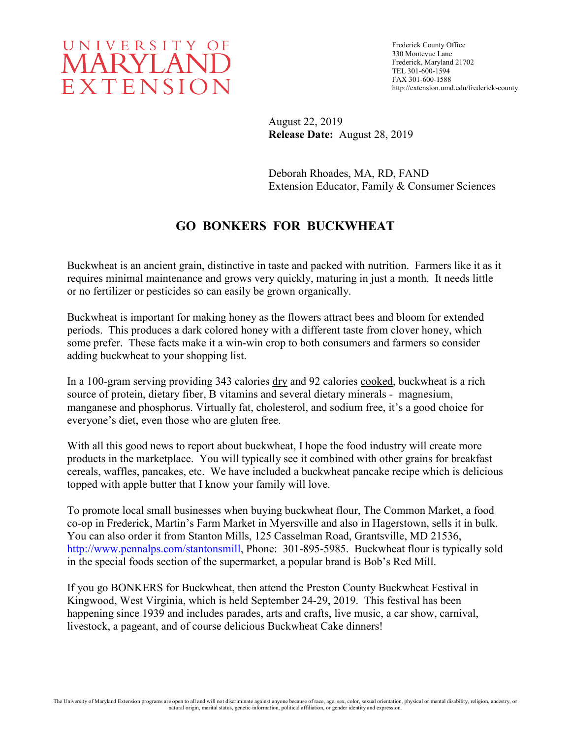

Frederick County Office 330 Montevue Lane Frederick, Maryland 21702 TEL 301-600-1594 FAX 301-600-1588 http://extension.umd.edu/frederick-county

August 22, 2019 **Release Date:** August 28, 2019

Deborah Rhoades, MA, RD, FAND Extension Educator, Family & Consumer Sciences

# **GO BONKERS FOR BUCKWHEAT**

Buckwheat is an ancient grain, distinctive in taste and packed with nutrition. Farmers like it as it requires minimal maintenance and grows very quickly, maturing in just a month. It needs little or no fertilizer or pesticides so can easily be grown organically.

Buckwheat is important for making honey as the flowers attract bees and bloom for extended periods. This produces a dark colored honey with a different taste from clover honey, which some prefer. These facts make it a win-win crop to both consumers and farmers so consider adding buckwheat to your shopping list.

In a 100-gram serving providing 343 calories dry and 92 calories cooked, buckwheat is a rich source of protein, dietary fiber, B vitamins and several dietary minerals - magnesium, manganese and phosphorus. Virtually fat, cholesterol, and sodium free, it's a good choice for everyone's diet, even those who are gluten free.

With all this good news to report about buckwheat, I hope the food industry will create more products in the marketplace. You will typically see it combined with other grains for breakfast cereals, waffles, pancakes, etc. We have included a buckwheat pancake recipe which is delicious topped with apple butter that I know your family will love.

To promote local small businesses when buying buckwheat flour, The Common Market, a food co-op in Frederick, Martin's Farm Market in Myersville and also in Hagerstown, sells it in bulk. You can also order it from Stanton Mills, 125 Casselman Road, Grantsville, MD 21536, [http://www.pennalps.com/stantonsmill,](http://www.pennalps.com/stantonsmill) Phone: 301-895-5985. Buckwheat flour is typically sold in the special foods section of the supermarket, a popular brand is Bob's Red Mill.

If you go BONKERS for Buckwheat, then attend the Preston County Buckwheat Festival in Kingwood, West Virginia, which is held September 24-29, 2019. This festival has been happening since 1939 and includes parades, arts and crafts, live music, a car show, carnival, livestock, a pageant, and of course delicious Buckwheat Cake dinners!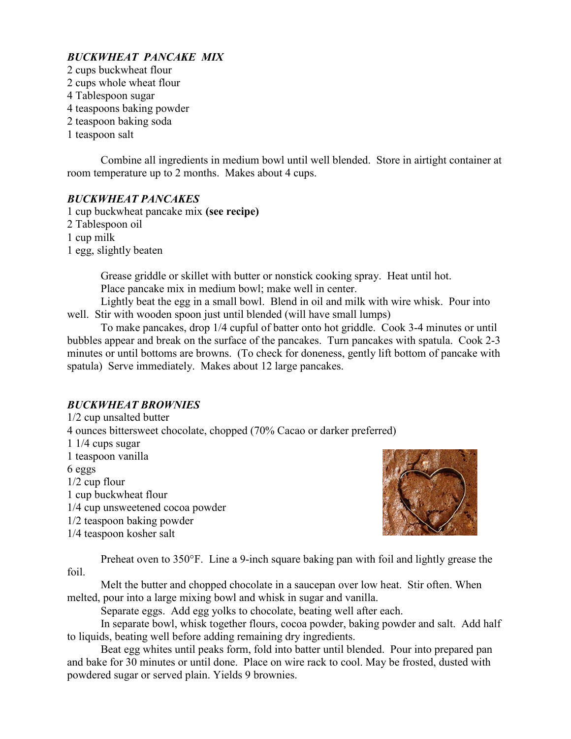## *BUCKWHEAT PANCAKE MIX*

2 cups buckwheat flour 2 cups whole wheat flour 4 Tablespoon sugar 4 teaspoons baking powder 2 teaspoon baking soda 1 teaspoon salt

Combine all ingredients in medium bowl until well blended. Store in airtight container at room temperature up to 2 months. Makes about 4 cups.

#### *BUCKWHEAT PANCAKES*

1 cup buckwheat pancake mix **(see recipe)** 2 Tablespoon oil 1 cup milk 1 egg, slightly beaten

> Grease griddle or skillet with butter or nonstick cooking spray. Heat until hot. Place pancake mix in medium bowl; make well in center.

Lightly beat the egg in a small bowl. Blend in oil and milk with wire whisk. Pour into well. Stir with wooden spoon just until blended (will have small lumps)

To make pancakes, drop 1/4 cupful of batter onto hot griddle. Cook 3-4 minutes or until bubbles appear and break on the surface of the pancakes. Turn pancakes with spatula. Cook 2-3 minutes or until bottoms are browns. (To check for doneness, gently lift bottom of pancake with spatula) Serve immediately. Makes about 12 large pancakes.

## *BUCKWHEAT BROWNIES*

1/2 cup unsalted butter 4 ounces bittersweet chocolate, chopped (70% Cacao or darker preferred) 1 1/4 cups sugar 1 teaspoon vanilla 6 eggs 1/2 cup flour 1 cup buckwheat flour 1/4 cup unsweetened cocoa powder 1/2 teaspoon baking powder 1/4 teaspoon kosher salt



Preheat oven to 350°F. Line a 9-inch square baking pan with foil and lightly grease the foil.

Melt the butter and chopped chocolate in a saucepan over low heat. Stir often. When melted, pour into a large mixing bowl and whisk in sugar and vanilla.

Separate eggs. Add egg yolks to chocolate, beating well after each.

In separate bowl, whisk together flours, cocoa powder, baking powder and salt. Add half to liquids, beating well before adding remaining dry ingredients.

Beat egg whites until peaks form, fold into batter until blended. Pour into prepared pan and bake for 30 minutes or until done. Place on wire rack to cool. May be frosted, dusted with powdered sugar or served plain. Yields 9 brownies.